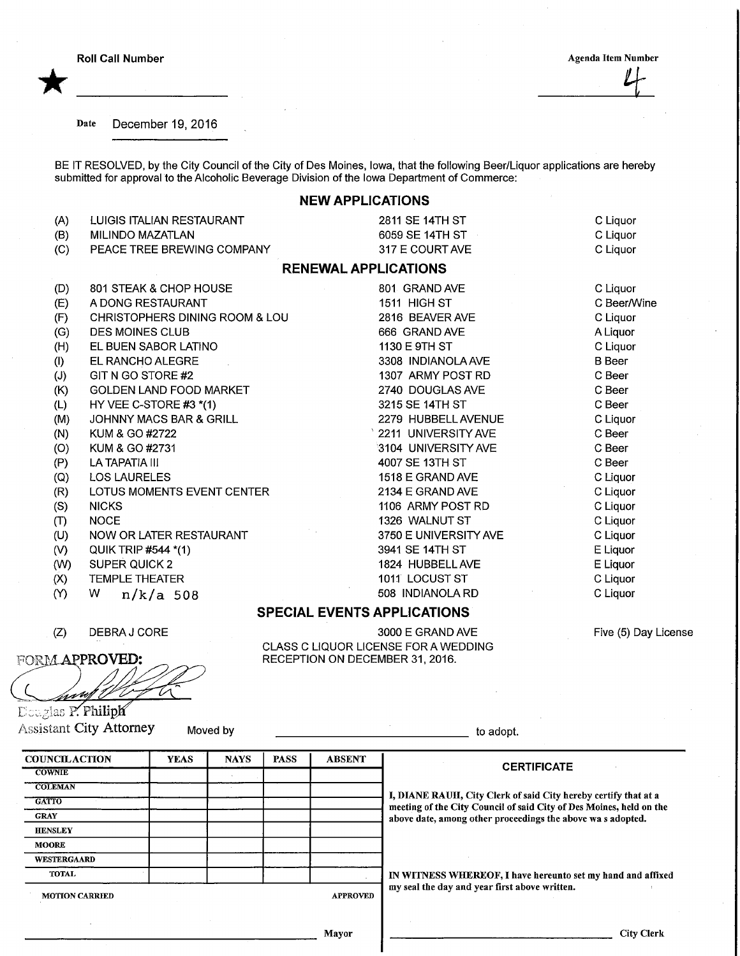Roll Call Number

\*

## **Agenda Item Number**

Date December 19, 2016

BE IT RESOLVED, by the City Council of the City of Des Moines, Iowa, that the following Beer/Liquor applications are hereby submitted for approval to the Alcoholic Beverage Division of the Iowa Department of Commerce:

## NEW APPLICATIONS

| (A) | LUIGIS ITALIAN RESTAURANT                 | 2811 SE 14TH ST             | C Liquor      |
|-----|-------------------------------------------|-----------------------------|---------------|
| (B) | <b>MILINDO MAZATLAN</b>                   | 6059 SE 14TH ST             | C Liquor      |
| (C) | PEACE TREE BREWING COMPANY                | 317 E COURT AVE             | C Liquor      |
|     |                                           | <b>RENEWAL APPLICATIONS</b> |               |
| (D) | 801 STEAK & CHOP HOUSE                    | 801 GRAND AVE               | C Liquor      |
| (E) | A DONG RESTAURANT                         | 1511 HIGH ST                | C Beer/Wine   |
| (F) | <b>CHRISTOPHERS DINING ROOM &amp; LOU</b> | 2816 BEAVER AVE             | C Liquor      |
| (G) | <b>DES MOINES CLUB</b>                    | 666 GRAND AVE               | A Liquor      |
| (H) | EL BUEN SABOR LATINO                      | 1130 E 9TH ST               | C Liquor      |
| (1) | EL RANCHO ALEGRE                          | 3308 INDIANOLA AVE          | <b>B</b> Beer |
| (J) | GIT N GO STORE #2                         | 1307 ARMY POST RD           | C Beer        |
| (K) | <b>GOLDEN LAND FOOD MARKET</b>            | 2740 DOUGLAS AVE            | C Beer        |
| (L) | HY VEE C-STORE $#3$ $*(1)$                | 3215 SE 14TH ST             | C Beer        |
| (M) | JOHNNY MACS BAR & GRILL                   | 2279 HUBBELL AVENUE         | C Liquor      |
| (N) | KUM & GO #2722                            | 2211 UNIVERSITY AVE         | C Beer        |
| (O) | KUM & GO #2731                            | 3104 UNIVERSITY AVE         | C Beer        |
| (P) | LA TAPATIA III                            | 4007 SE 13TH ST             | C Beer        |
| (Q) | <b>LOS LAURELES</b>                       | 1518 E GRAND AVE            | C Liquor      |
| (R) | LOTUS MOMENTS EVENT CENTER                | 2134 E GRAND AVE            | C Liquor      |
| (S) | <b>NICKS</b>                              | 1106 ARMY POST RD           | C Liquor      |
| (T) | <b>NOCE</b>                               | 1326 WALNUT ST              | C Liquor      |
| (U) | NOW OR LATER RESTAURANT                   | 3750 E UNIVERSITY AVE       | C Liquor      |
| (V) | QUIK TRIP #544 *(1)                       | 3941 SE 14TH ST             | E Liquor      |
| (W) | <b>SUPER QUICK 2</b>                      | 1824 HUBBELL AVE            | E Liquor      |

- 
- $(X)$ TEMPLE THEATER
- $(Y)$ W n/k/a 508
- (Z) DEBRAJCORE

FORM APPROVED: <u>hvuf</u>

Douglas P. Philiph Assistant City Attorney Moved by the City Attorney Moved by the City Attorney Moved by the City of adopt.

**COUNCILACTION COWNIE** COLEMAN **GATTO** GRAY **HENSLEY** MOORE **WESTERGAARD** TOTAL MOTION CARRIED YEAS | NAYS | PASS | ABSENT APPROVED **CERTIFICATE** I, DIANE RAUH, City Clerk of said City hereby certify that at a meeting of the City Council of said City of Des Moines, held on the above date, among other proceedings the above wa s adopted. IN WITNESS WHEREOF, I have hereunto set my hand and affixed my seal the day and year first above written.

SPECIAL EVENTS APPLICATIONS

CLASS C LIQUOR LICENSE FOR A WEDDING RECEPTION ON DECEMBER 31, 2016.

1011 LOCUST ST 508 INDIANOLARD

3000 E GRAND AVE

Mayor

City Clerk

Five (5) Day License

C Liquor C Liquor

- (W) SUPER QUICK 2
- -